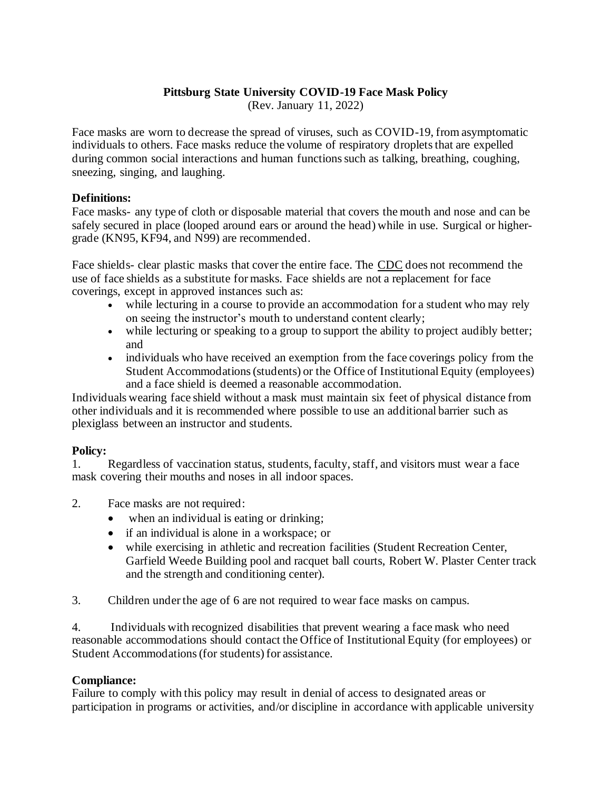## **Pittsburg State University COVID-19 Face Mask Policy**

(Rev. January 11, 2022)

Face masks are worn to decrease the spread of viruses, such as COVID-19, from asymptomatic individuals to others. Face masks reduce the volume of respiratory droplets that are expelled during common social interactions and human functions such as talking, breathing, coughing, sneezing, singing, and laughing.

## **Definitions:**

Face masks- any type of cloth or disposable material that covers the mouth and nose and can be safely secured in place (looped around ears or around the head) while in use. Surgical or highergrade (KN95, KF94, and N99) are recommended.

Face shields- clear plastic masks that cover the entire face. The CDC does not recommend the use of face shields as a substitute for masks. Face shields are not a replacement for face coverings, except in approved instances such as:

- while lecturing in a course to provide an accommodation for a student who may rely on seeing the instructor's mouth to understand content clearly;
- while lecturing or speaking to a group to support the ability to project audibly better; and
- individuals who have received an exemption from the face coverings policy from the Student Accommodations (students) or the Office of Institutional Equity (employees) and a face shield is deemed a reasonable accommodation.

Individuals wearing face shield without a mask must maintain six feet of physical distance from other individuals and it is recommended where possible to use an additional barrier such as plexiglass between an instructor and students.

## **Policy:**

1. Regardless of vaccination status, students, faculty, staff, and visitors must wear a face mask covering their mouths and noses in all indoor spaces.

- 2. Face masks are not required:
	- when an individual is eating or drinking;
	- if an individual is alone in a workspace; or
	- while exercising in athletic and recreation facilities (Student Recreation Center, Garfield Weede Building pool and racquet ball courts, Robert W. Plaster Center track and the strength and conditioning center).

3. Children under the age of 6 are not required to wear face masks on campus.

4. Individuals with recognized disabilities that prevent wearing a face mask who need reasonable accommodations should contact the Office of Institutional Equity (for employees) or Student Accommodations (for students) for assistance.

## **Compliance:**

Failure to comply with this policy may result in denial of access to designated areas or participation in programs or activities, and/or discipline in accordance with applicable university